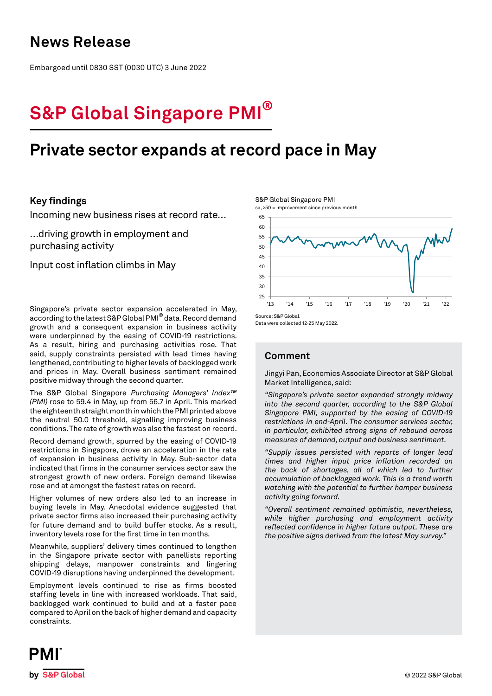# **News Release**

Embargoed until 0830 SST (0030 UTC) 3 June 2022

# **S&P Global Singapore PMI®**

# **Private sector expands at record pace in May**

## **Key findings**

Incoming new business rises at record rate…

…driving growth in employment and purchasing activity

Input cost inflation climbs in May

Singapore's private sector expansion accelerated in May, according to the latest S&P Global PMI® data. Record demand growth and a consequent expansion in business activity were underpinned by the easing of COVID-19 restrictions. As a result, hiring and purchasing activities rose. That said, supply constraints persisted with lead times having lengthened, contributing to higher levels of backlogged work and prices in May. Overall business sentiment remained positive midway through the second quarter.

The S&P Global Singapore *Purchasing Managers' Index™ (PMI)* rose to 59.4 in May, up from 56.7 in April. This marked the eighteenth straight month in which the PMI printed above the neutral 50.0 threshold, signalling improving business conditions. The rate of growth was also the fastest on record.

Record demand growth, spurred by the easing of COVID-19 restrictions in Singapore, drove an acceleration in the rate of expansion in business activity in May. Sub-sector data indicated that firms in the consumer services sector saw the strongest growth of new orders. Foreign demand likewise rose and at amongst the fastest rates on record.

Higher volumes of new orders also led to an increase in buying levels in May. Anecdotal evidence suggested that private sector firms also increased their purchasing activity for future demand and to build buffer stocks. As a result, inventory levels rose for the first time in ten months.

Meanwhile, suppliers' delivery times continued to lengthen in the Singapore private sector with panellists reporting shipping delays, manpower constraints and lingering COVID-19 disruptions having underpinned the development.

Employment levels continued to rise as firms boosted staffing levels in line with increased workloads. That said, backlogged work continued to build and at a faster pace compared to April on the back of higher demand and capacity constraints.

S&P Global Singapore PMI

sa, >50 = improvement since previous month



Data were collected 12-25 May 2022.

# **Comment**

Jingyi Pan, Economics Associate Director at S&P Global Market Intelligence, said:

*"Singapore's private sector expanded strongly midway into the second quarter, according to the S&P Global Singapore PMI, supported by the easing of COVID-19 restrictions in end-April. The consumer services sector, in particular, exhibited strong signs of rebound across measures of demand, output and business sentiment.*

*"Supply issues persisted with reports of longer lead times and higher input price inflation recorded on the back of shortages, all of which led to further accumulation of backlogged work. This is a trend worth watching with the potential to further hamper business activity going forward.* 

*"Overall sentiment remained optimistic, nevertheless, while higher purchasing and employment activity reflected confidence in higher future output. These are the positive signs derived from the latest May survey."*